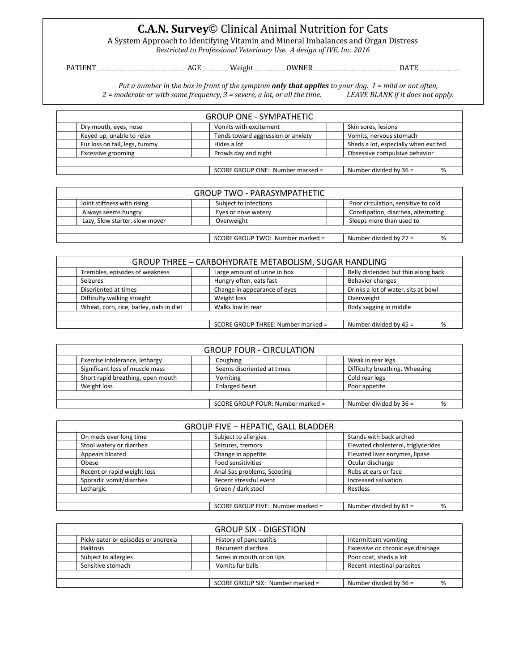## **C.A.N. Survey**© Clinical Animal Nutrition for Cats

A System Approach to Identifying Vitamin and Mineral Imbalances and Organ Distress

*Restricted to Professional Veterinary Use. A design of IVE, Inc. 2016*

PATIENT\_\_\_\_\_\_\_\_\_\_\_\_\_\_\_\_\_\_\_\_\_\_\_\_\_\_\_\_\_\_\_ AGE \_\_\_\_\_\_\_\_\_ Weight \_\_\_\_\_\_\_\_\_\_\_OWNER \_\_\_\_\_\_\_\_\_\_\_\_\_\_\_\_\_\_\_\_\_\_\_\_\_\_\_\_\_ DATE \_\_\_\_\_\_\_\_\_\_\_\_\_\_

*Put a number in the box in front of the symptom only that applies to your dog. 1 = mild or not often, 2 = moderate or with some frequency, 3 = severe, a lot, or all the time. LEAVE BLANK if it does not apply.*

| <b>GROUP ONE - SYMPATHETIC</b>                                    |                               |  |                                    |                                      |
|-------------------------------------------------------------------|-------------------------------|--|------------------------------------|--------------------------------------|
|                                                                   | Dry mouth, eyes, nose         |  | Vomits with excitement             | Skin sores, lesions                  |
|                                                                   | Keyed up, unable to relax     |  | Tends toward aggression or anxiety | Vomits, nervous stomach              |
|                                                                   | Fur loss on tail, legs, tummy |  | Hides a lot                        | Sheds a lot, especially when excited |
|                                                                   | Excessive grooming            |  | Prowls day and night               | Obsessive compulsive behavior        |
|                                                                   |                               |  |                                    |                                      |
| SCORE GROUP ONE: Number marked =<br>Number divided by $36 =$<br>% |                               |  |                                    |                                      |

| <b>GROUP TWO - PARASYMPATHETIC</b>                           |                       |                                     |  |  |
|--------------------------------------------------------------|-----------------------|-------------------------------------|--|--|
| Joint stiffness with rising                                  | Subject to infections | Poor circulation, sensitive to cold |  |  |
| Always seems hungry                                          | Eyes or nose watery   | Constipation, diarrhea, alternating |  |  |
| Lazy, Slow starter, slow mover                               | Overweight            | Sleeps more than used to            |  |  |
|                                                              |                       |                                     |  |  |
| Number divided by $27 =$<br>SCORE GROUP TWO: Number marked = |                       |                                     |  |  |

| GROUP THREE - CARBOHYDRATE METABOLISM, SUGAR HANDLING |                                    |                                     |  |
|-------------------------------------------------------|------------------------------------|-------------------------------------|--|
| Trembles, episodes of weakness                        | Large amount of urine in box       | Belly distended but thin along back |  |
| Seizures                                              | Hungry often, eats fast            | Behavior changes                    |  |
| Disoriented at times                                  | Change in appearance of eyes       | Drinks a lot of water, sits at bowl |  |
| Difficulty walking straight                           | Weight loss                        | Overweight                          |  |
| Wheat, corn, rice, barley, oats in diet               | Walks low in rear                  | Body sagging in middle              |  |
|                                                       |                                    |                                     |  |
|                                                       | SCORE GROUP THREE: Number marked = | Number divided by $45 =$            |  |

| <b>GROUP FOUR - CIRCULATION</b>                               |                                   |                            |                                |  |
|---------------------------------------------------------------|-----------------------------------|----------------------------|--------------------------------|--|
| Exercise intolerance, lethargy                                |                                   | Coughing                   | Weak in rear legs              |  |
|                                                               | Significant loss of muscle mass   | Seems disoriented at times | Difficulty breathing. Wheezing |  |
|                                                               | Short rapid breathing, open mouth | Vomiting                   | Cold rear legs                 |  |
| Weight loss                                                   |                                   | Enlarged heart             | Poor appetite                  |  |
|                                                               |                                   |                            |                                |  |
| SCORE GROUP FOUR: Number marked =<br>Number divided by $36 =$ |                                   |                            |                                |  |

| <b>GROUP FIVE - HEPATIC, GALL BLADDER</b>                        |                             |                                     |  |  |
|------------------------------------------------------------------|-----------------------------|-------------------------------------|--|--|
| On meds over long time                                           | Subject to allergies        | Stands with back arched             |  |  |
| Stool watery or diarrhea                                         | Seizures, tremors           | Elevated cholesterol, triglycerides |  |  |
| Appears bloated                                                  | Change in appetite          | Elevated liver enzymes, lipase      |  |  |
| Obese                                                            | <b>Food sensitivities</b>   | Ocular discharge                    |  |  |
| Recent or rapid weight loss                                      | Anal Sac problems, Scooting | Rubs at ears or face                |  |  |
| Sporadic vomit/diarrhea                                          | Recent stressful event      | Increased salivation                |  |  |
| Lethargic                                                        | Green / dark stool          | Restless                            |  |  |
|                                                                  |                             |                                     |  |  |
| Number divided by 63 =<br>SCORE GROUP FIVE: Number marked =<br>% |                             |                                     |  |  |

|                                     | <b>GROUP SIX - DIGESTION</b>     |                                   |  |
|-------------------------------------|----------------------------------|-----------------------------------|--|
| Picky eater or episodes or anorexia | History of pancreatitis          | Intermittent vomiting             |  |
| Halitosis                           | Recurrent diarrhea               | Excessive or chronic eye drainage |  |
| Subject to allergies                | Sores in mouth or on lips        | Poor coat, sheds a lot            |  |
| Sensitive stomach                   | Vomits fur balls                 | Recent intestinal parasites       |  |
|                                     |                                  |                                   |  |
|                                     | SCORE GROUP SIX: Number marked = | Number divided by $36 =$<br>%     |  |